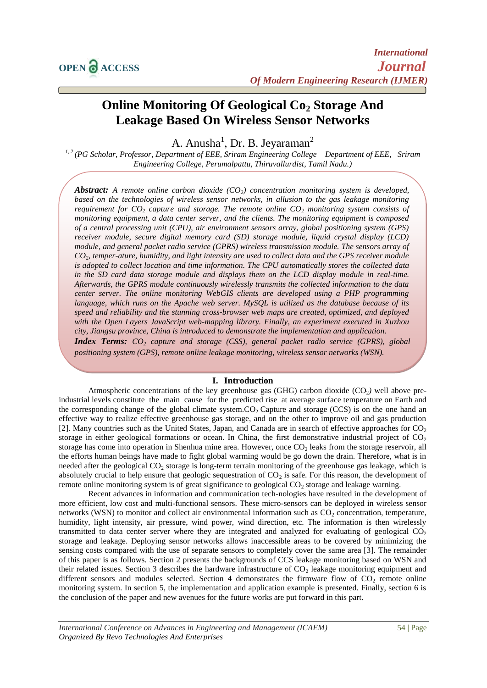# **Online Monitoring Of Geological Co<sup>2</sup> Storage And Leakage Based On Wireless Sensor Networks**

A. Anusha<sup>1</sup>, Dr. B. Jeyaraman<sup>2</sup>

*1, 2 (PG Scholar, Professor, Department of EEE, Sriram Engineering College Department of EEE, Sriram Engineering College, Perumalpattu, Thiruvallurdist, Tamil Nadu.)*

*Abstract: A remote online carbon dioxide (CO2) concentration monitoring system is developed, based on the technologies of wireless sensor networks, in allusion to the gas leakage monitoring requirement for CO<sup>2</sup> capture and storage. The remote online CO<sup>2</sup> monitoring system consists of monitoring equipment, a data center server, and the clients. The monitoring equipment is composed of a central processing unit (CPU), air environment sensors array, global positioning system (GPS) receiver module, secure digital memory card (SD) storage module, liquid crystal display (LCD) module, and general packet radio service (GPRS) wireless transmission module. The sensors array of CO2, temper-ature, humidity, and light intensity are used to collect data and the GPS receiver module is adopted to collect location and time information. The CPU automatically stores the collected data in the SD card data storage module and displays them on the LCD display module in real-time. Afterwards, the GPRS module continuously wirelessly transmits the collected information to the data center server. The online monitoring WebGIS clients are developed using a PHP programming language, which runs on the Apache web server. MySQL is utilized as the database because of its speed and reliability and the stunning cross-browser web maps are created, optimized, and deployed with the Open Layers JavaScript web-mapping library. Finally, an experiment executed in Xuzhou city, Jiangsu province, China is introduced to demonstrate the implementation and application. Index Terms: CO<sup>2</sup> capture and storage (CSS), general packet radio service (GPRS), global positioning system (GPS), remote online leakage monitoring, wireless sensor networks (WSN).*

## **I. Introduction**

Atmospheric concentrations of the key greenhouse gas (GHG) carbon dioxide (CO2*)* well above preindustrial levels constitute the main cause for the predicted rise at average surface temperature on Earth and the corresponding change of the global climate system. $CO<sub>2</sub>$  Capture and storage (CCS) is on the one hand an effective way to realize effective greenhouse gas storage, and on the other to improve oil and gas production [2]. Many countries such as the United States, Japan, and Canada are in search of effective approaches for  $CO<sub>2</sub>$ storage in either geological formations or ocean. In China, the first demonstrative industrial project of  $CO<sub>2</sub>$ storage has come into operation in Shenhua mine area. However, once  $CO<sub>2</sub>$  leaks from the storage reservoir, all the efforts human beings have made to fight global warming would be go down the drain. Therefore, what is in needed after the geological  $CO<sub>2</sub>$  storage is long-term terrain monitoring of the greenhouse gas leakage, which is absolutely crucial to help ensure that geologic sequestration of  $CO<sub>2</sub>$  is safe. For this reason, the development of remote online monitoring system is of great significance to geological CO<sub>2</sub> storage and leakage warning.

Recent advances in information and communication tech-nologies have resulted in the development of more efficient, low cost and multi-functional sensors. These micro-sensors can be deployed in wireless sensor networks (WSN) to monitor and collect air environmental information such as  $CO<sub>2</sub>$  concentration, temperature, humidity, light intensity, air pressure, wind power, wind direction, etc. The information is then wirelessly transmitted to data center server where they are integrated and analyzed for evaluating of geological  $CO<sub>2</sub>$ storage and leakage. Deploying sensor networks allows inaccessible areas to be covered by minimizing the sensing costs compared with the use of separate sensors to completely cover the same area [3]. The remainder of this paper is as follows. Section 2 presents the backgrounds of CCS leakage monitoring based on WSN and their related issues. Section 3 describes the hardware infrastructure of  $CO<sub>2</sub>$  leakage monitoring equipment and different sensors and modules selected. Section 4 demonstrates the firmware flow of  $CO<sub>2</sub>$  remote online monitoring system. In section 5, the implementation and application example is presented. Finally, section 6 is the conclusion of the paper and new avenues for the future works are put forward in this part.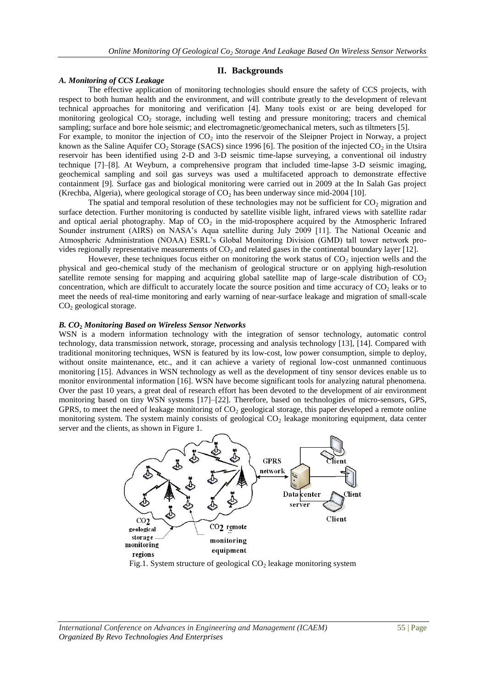### **II. Backgrounds**

#### *A. Monitoring of CCS Leakage*

The effective application of monitoring technologies should ensure the safety of CCS projects, with respect to both human health and the environment, and will contribute greatly to the development of relevant technical approaches for monitoring and verification [4]. Many tools exist or are being developed for monitoring geological  $CO<sub>2</sub>$  storage, including well testing and pressure monitoring; tracers and chemical sampling; surface and bore hole seismic; and electromagnetic/geomechanical meters, such as tiltmeters [5]. For example, to monitor the injection of  $CO<sub>2</sub>$  into the reservoir of the Sleipner Project in Norway, a project known as the Saline Aquifer CO<sub>2</sub> Storage (SACS) since 1996 [6]. The position of the injected CO<sub>2</sub> in the Utsira reservoir has been identified using 2-D and 3-D seismic time-lapse surveying, a conventional oil industry technique [7]–[8]. At Weyburn, a comprehensive program that included time-lapse 3-D seismic imaging, geochemical sampling and soil gas surveys was used a multifaceted approach to demonstrate effective containment [9]. Surface gas and biological monitoring were carried out in 2009 at the In Salah Gas project

The spatial and temporal resolution of these technologies may not be sufficient for  $CO<sub>2</sub>$  migration and surface detection. Further monitoring is conducted by satellite visible light, infrared views with satellite radar and optical aerial photography. Map of  $CO<sub>2</sub>$  in the mid-troposphere acquired by the Atmospheric Infrared Sounder instrument (AIRS) on NASA's Aqua satellite during July 2009 [11]. The National Oceanic and Atmospheric Administration (NOAA) ESRL's Global Monitoring Division (GMD) tall tower network provides regionally representative measurements of  $CO<sub>2</sub>$  and related gases in the continental boundary layer [12].

(Krechba, Algeria), where geological storage of  $CO<sub>2</sub>$  has been underway since mid-2004 [10].

However, these techniques focus either on monitoring the work status of  $CO<sub>2</sub>$  injection wells and the physical and geo-chemical study of the mechanism of geological structure or on applying high-resolution satellite remote sensing for mapping and acquiring global satellite map of large-scale distribution of  $CO<sub>2</sub>$ concentration, which are difficult to accurately locate the source position and time accuracy of  $CO<sub>2</sub>$  leaks or to meet the needs of real-time monitoring and early warning of near-surface leakage and migration of small-scale CO<sup>2</sup> geological storage.

#### *B. CO***<sup>2</sup>** *Monitoring Based on Wireless Sensor Networks*

WSN is a modern information technology with the integration of sensor technology, automatic control technology, data transmission network, storage, processing and analysis technology [13], [14]. Compared with traditional monitoring techniques, WSN is featured by its low-cost, low power consumption, simple to deploy, without onsite maintenance, etc., and it can achieve a variety of regional low-cost unmanned continuous monitoring [15]. Advances in WSN technology as well as the development of tiny sensor devices enable us to monitor environmental information [16]. WSN have become significant tools for analyzing natural phenomena. Over the past 10 years, a great deal of research effort has been devoted to the development of air environment monitoring based on tiny WSN systems [17]–[22]. Therefore, based on technologies of micro-sensors, GPS, GPRS, to meet the need of leakage monitoring of  $CO<sub>2</sub>$  geological storage, this paper developed a remote online monitoring system. The system mainly consists of geological  $CO<sub>2</sub>$  leakage monitoring equipment, data center server and the clients, as shown in Figure 1.



Fig.1. System structure of geological  $CO<sub>2</sub>$  leakage monitoring system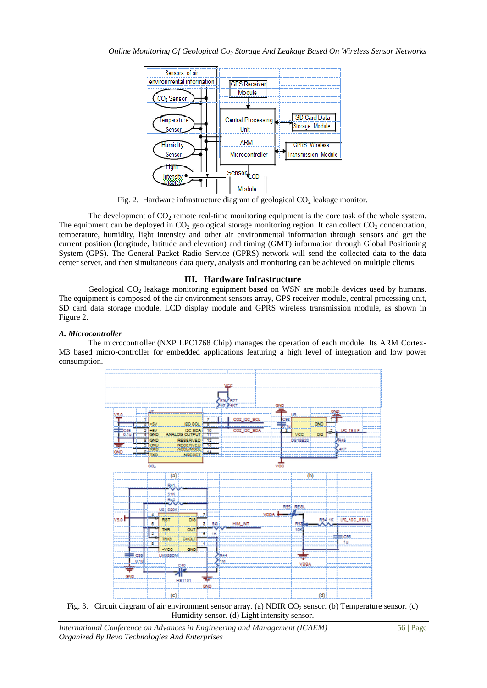

Fig. 2. Hardware infrastructure diagram of geological  $CO<sub>2</sub>$  leakage monitor.

The development of  $CO<sub>2</sub>$  remote real-time monitoring equipment is the core task of the whole system. The equipment can be deployed in  $CO<sub>2</sub>$  geological storage monitoring region. It can collect  $CO<sub>2</sub>$  concentration, temperature, humidity, light intensity and other air environmental information through sensors and get the current position (longitude, latitude and elevation) and timing (GMT) information through Global Positioning System (GPS). The General Packet Radio Service (GPRS) network will send the collected data to the data center server, and then simultaneous data query, analysis and monitoring can be achieved on multiple clients.

## **III. Hardware Infrastructure**

Geological  $CO<sub>2</sub>$  leakage monitoring equipment based on WSN are mobile devices used by humans. The equipment is composed of the air environment sensors array, GPS receiver module, central processing unit, SD card data storage module, LCD display module and GPRS wireless transmission module, as shown in Figure 2.

## *A. Microcontroller*

The microcontroller (NXP LPC1768 Chip) manages the operation of each module. Its ARM Cortex-M3 based micro-controller for embedded applications featuring a high level of integration and low power consumption.



Fig. 3. Circuit diagram of air environment sensor array. (a) NDIR CO<sub>2</sub> sensor. (b) Temperature sensor. (c) Humidity sensor. (d) Light intensity sensor.

*International Conference on Advances in Engineering and Management (ICAEM)* 56 | Page *Organized By Revo Technologies And Enterprises*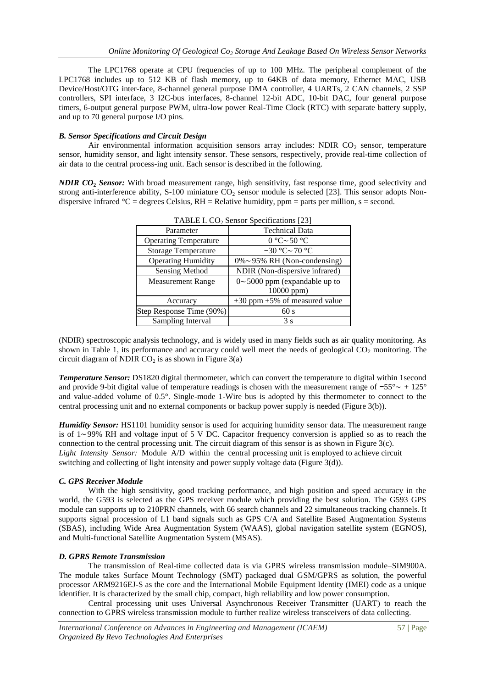The LPC1768 operate at CPU frequencies of up to 100 MHz. The peripheral complement of the LPC1768 includes up to 512 KB of flash memory, up to 64KB of data memory, Ethernet MAC, USB Device/Host/OTG inter-face, 8-channel general purpose DMA controller, 4 UARTs, 2 CAN channels, 2 SSP controllers, SPI interface, 3 I2C-bus interfaces, 8-channel 12-bit ADC, 10-bit DAC, four general purpose timers, 6-output general purpose PWM, ultra-low power Real-Time Clock (RTC) with separate battery supply, and up to 70 general purpose I/O pins.

### *B. Sensor Specifications and Circuit Design*

Air environmental information acquisition sensors array includes: NDIR  $CO<sub>2</sub>$  sensor, temperature sensor, humidity sensor, and light intensity sensor. These sensors, respectively, provide real-time collection of air data to the central process-ing unit. Each sensor is described in the following.

*NDIR CO***<sup>2</sup>** *Sensor:* With broad measurement range, high sensitivity, fast response time, good selectivity and strong anti-interference ability, S-100 miniature  $CO_2$  sensor module is selected [23]. This sensor adopts Nondispersive infrared  ${}^{\circ}C$  = degrees Celsius, RH = Relative humidity, ppm = parts per million, s = second.

| $1$ ADLE 1. CO <sub>2</sub> Sensor Specifications $ 23 $ |                                          |
|----------------------------------------------------------|------------------------------------------|
| Parameter                                                | <b>Technical Data</b>                    |
| <b>Operating Temperature</b>                             | $0^{\circ}$ C $\sim$ 50 $^{\circ}$ C     |
| <b>Storage Temperature</b>                               | $-30$ °C ~ 70 °C                         |
| <b>Operating Humidity</b>                                | $0\% \sim 95\%$ RH (Non-condensing)      |
| Sensing Method                                           | NDIR (Non-dispersive infrared)           |
| <b>Measurement Range</b>                                 | $0 \sim 5000$ ppm (expandable up to      |
|                                                          | 10000 ppm)                               |
| Accuracy                                                 | $\pm 30$ ppm $\pm 5\%$ of measured value |
| Step Response Time (90%)                                 | 60 s                                     |
| Sampling Interval                                        | 3s                                       |

TABLE I. CO<sup>2</sup> Sensor Specifications [23]

(NDIR) spectroscopic analysis technology, and is widely used in many fields such as air quality monitoring. As shown in Table 1, its performance and accuracy could well meet the needs of geological  $CO<sub>2</sub>$  monitoring. The circuit diagram of NDIR  $CO<sub>2</sub>$  is as shown in Figure 3(a)

*Temperature Sensor:* DS1820 digital thermometer, which can convert the temperature to digital within 1second and provide 9-bit digital value of temperature readings is chosen with the measurement range of −55°∼ + 125° and value-added volume of 0.5°. Single-mode 1-Wire bus is adopted by this thermometer to connect to the central processing unit and no external components or backup power supply is needed (Figure 3(b)).

*Humidity Sensor:* HS1101 humidity sensor is used for acquiring humidity sensor data. The measurement range is of 1∼99% RH and voltage input of 5 V DC. Capacitor frequency conversion is applied so as to reach the connection to the central processing unit. The circuit diagram of this sensor is as shown in Figure 3(c). *Light Intensity Sensor:* Module A/D within the central processing unit is employed to achieve circuit switching and collecting of light intensity and power supply voltage data (Figure 3(d)).

#### *C. GPS Receiver Module*

With the high sensitivity, good tracking performance, and high position and speed accuracy in the world, the G593 is selected as the GPS receiver module which providing the best solution. The G593 GPS module can supports up to 210PRN channels, with 66 search channels and 22 simultaneous tracking channels. It supports signal procession of L1 band signals such as GPS C/A and Satellite Based Augmentation Systems (SBAS), including Wide Area Augmentation System (WAAS), global navigation satellite system (EGNOS), and Multi-functional Satellite Augmentation System (MSAS).

#### *D. GPRS Remote Transmission*

The transmission of Real-time collected data is via GPRS wireless transmission module–SIM900A. The module takes Surface Mount Technology (SMT) packaged dual GSM/GPRS as solution, the powerful processor ARM9216EJ-S as the core and the International Mobile Equipment Identity (IMEI) code as a unique identifier. It is characterized by the small chip, compact, high reliability and low power consumption.

Central processing unit uses Universal Asynchronous Receiver Transmitter (UART) to reach the connection to GPRS wireless transmission module to further realize wireless transceivers of data collecting.

*International Conference on Advances in Engineering and Management (ICAEM)* 57 | Page *Organized By Revo Technologies And Enterprises*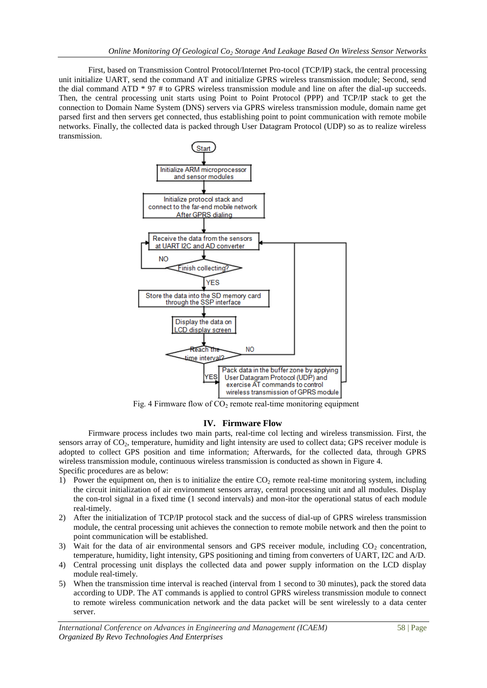First, based on Transmission Control Protocol/Internet Pro-tocol (TCP/IP) stack, the central processing unit initialize UART, send the command AT and initialize GPRS wireless transmission module; Second, send the dial command ATD \* 97 # to GPRS wireless transmission module and line on after the dial-up succeeds. Then, the central processing unit starts using Point to Point Protocol (PPP) and TCP/IP stack to get the connection to Domain Name System (DNS) servers via GPRS wireless transmission module, domain name get parsed first and then servers get connected, thus establishing point to point communication with remote mobile networks. Finally, the collected data is packed through User Datagram Protocol (UDP) so as to realize wireless transmission.



Fig. 4 Firmware flow of  $CO<sub>2</sub>$  remote real-time monitoring equipment

## **IV. Firmware Flow**

Firmware process includes two main parts, real-time col lecting and wireless transmission. First, the sensors array of CO<sub>2</sub>, temperature, humidity and light intensity are used to collect data; GPS receiver module is adopted to collect GPS position and time information; Afterwards, for the collected data, through GPRS wireless transmission module, continuous wireless transmission is conducted as shown in Figure 4. Specific procedures are as below:

- 1) Power the equipment on, then is to initialize the entire  $CO<sub>2</sub>$  remote real-time monitoring system, including the circuit initialization of air environment sensors array, central processing unit and all modules. Display the con-trol signal in a fixed time (1 second intervals) and mon-itor the operational status of each module real-timely.
- 2) After the initialization of TCP/IP protocol stack and the success of dial-up of GPRS wireless transmission module, the central processing unit achieves the connection to remote mobile network and then the point to point communication will be established.
- 3) Wait for the data of air environmental sensors and GPS receiver module, including  $CO<sub>2</sub>$  concentration, temperature, humidity, light intensity, GPS positioning and timing from converters of UART, I2C and A/D.
- 4) Central processing unit displays the collected data and power supply information on the LCD display module real-timely.
- 5) When the transmission time interval is reached (interval from 1 second to 30 minutes), pack the stored data according to UDP. The AT commands is applied to control GPRS wireless transmission module to connect to remote wireless communication network and the data packet will be sent wirelessly to a data center server.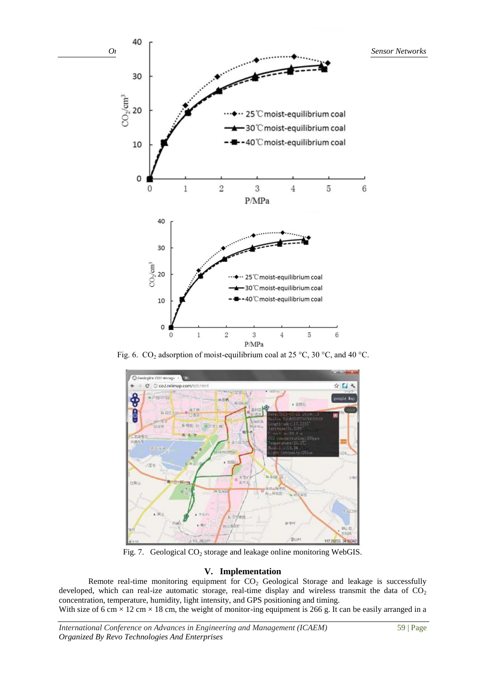

Fig. 6. CO<sub>2</sub> adsorption of moist-equilibrium coal at 25 °C, 30 °C, and 40 °C.



Fig. 7. Geological  $CO<sub>2</sub>$  storage and leakage online monitoring WebGIS.

## **V. Implementation**

Remote real-time monitoring equipment for  $CO<sub>2</sub>$  Geological Storage and leakage is successfully developed, which can real-ize automatic storage, real-time display and wireless transmit the data of  $CO<sub>2</sub>$ concentration, temperature, humidity, light intensity, and GPS positioning and timing.

With size of 6 cm  $\times$  12 cm  $\times$  18 cm, the weight of monitor-ing equipment is 266 g. It can be easily arranged in a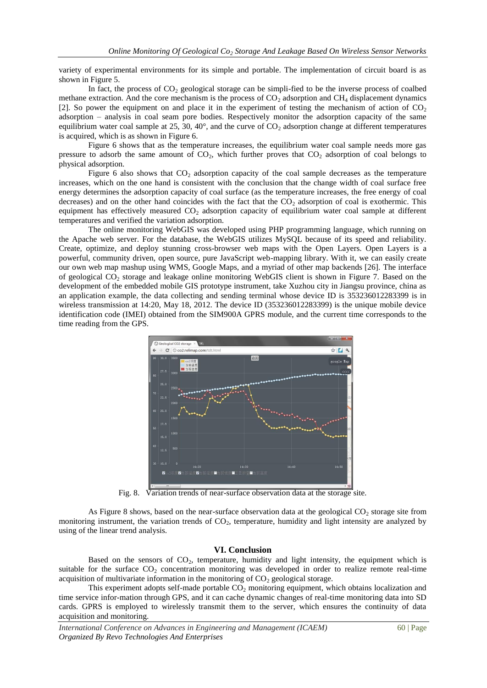variety of experimental environments for its simple and portable. The implementation of circuit board is as shown in Figure 5.

In fact, the process of  $CO<sub>2</sub>$  geological storage can be simpli-fied to be the inverse process of coalbed methane extraction. And the core mechanism is the process of  $CO<sub>2</sub>$  adsorption and CH<sub>4</sub> displacement dynamics [2]. So power the equipment on and place it in the experiment of testing the mechanism of action of  $CO<sub>2</sub>$ adsorption – analysis in coal seam pore bodies. Respectively monitor the adsorption capacity of the same equilibrium water coal sample at 25, 30, 40 $^{\circ}$ , and the curve of  $CO_2$  adsorption change at different temperatures is acquired, which is as shown in Figure 6.

Figure 6 shows that as the temperature increases, the equilibrium water coal sample needs more gas pressure to adsorb the same amount of  $CO<sub>2</sub>$ , which further proves that  $CO<sub>2</sub>$  adsorption of coal belongs to physical adsorption.

Figure 6 also shows that  $CO<sub>2</sub>$  adsorption capacity of the coal sample decreases as the temperature increases, which on the one hand is consistent with the conclusion that the change width of coal surface free energy determines the adsorption capacity of coal surface (as the temperature increases, the free energy of coal decreases) and on the other hand coincides with the fact that the  $CO<sub>2</sub>$  adsorption of coal is exothermic. This equipment has effectively measured  $CO<sub>2</sub>$  adsorption capacity of equilibrium water coal sample at different temperatures and verified the variation adsorption.

The online monitoring WebGIS was developed using PHP programming language, which running on the Apache web server. For the database, the WebGIS utilizes MySQL because of its speed and reliability. Create, optimize, and deploy stunning cross-browser web maps with the Open Layers. Open Layers is a powerful, community driven, open source, pure JavaScript web-mapping library. With it, we can easily create our own web map mashup using WMS, Google Maps, and a myriad of other map backends [26]. The interface of geological  $CO<sub>2</sub>$  storage and leakage online monitoring WebGIS client is shown in Figure 7. Based on the development of the embedded mobile GIS prototype instrument, take Xuzhou city in Jiangsu province, china as an application example, the data collecting and sending terminal whose device ID is 353236012283399 is in wireless transmission at 14:20, May 18, 2012. The device ID (353236012283399) is the unique mobile device identification code (IMEI) obtained from the SIM900A GPRS module, and the current time corresponds to the time reading from the GPS.



Fig. 8. Variation trends of near-surface observation data at the storage site.

As Figure 8 shows, based on the near-surface observation data at the geological  $CO<sub>2</sub>$  storage site from monitoring instrument, the variation trends of  $CO<sub>2</sub>$ , temperature, humidity and light intensity are analyzed by using of the linear trend analysis.

#### **VI. Conclusion**

Based on the sensors of  $CO<sub>2</sub>$ , temperature, humidity and light intensity, the equipment which is suitable for the surface  $CO<sub>2</sub>$  concentration monitoring was developed in order to realize remote real-time acquisition of multivariate information in the monitoring of  $CO<sub>2</sub>$  geological storage.

This experiment adopts self-made portable  $CO<sub>2</sub>$  monitoring equipment, which obtains localization and time service infor-mation through GPS, and it can cache dynamic changes of real-time monitoring data into SD cards. GPRS is employed to wirelessly transmit them to the server, which ensures the continuity of data acquisition and monitoring.